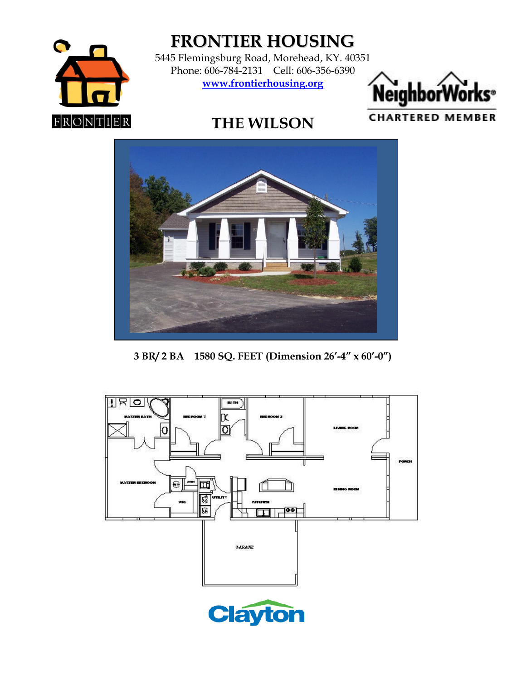

**FRONTIER HOUSING**

5445 Flemingsburg Road, Morehead, KY. 40351 Phone: 606-784-2131 Cell: 606-356-6390 **www.frontierhousing.org**



**CHARTERED MEMBER** 

## **THE WILSON**



**3 BR/ 2 BA 1580 SQ. FEET (Dimension 26'-4" x 60'-0")**